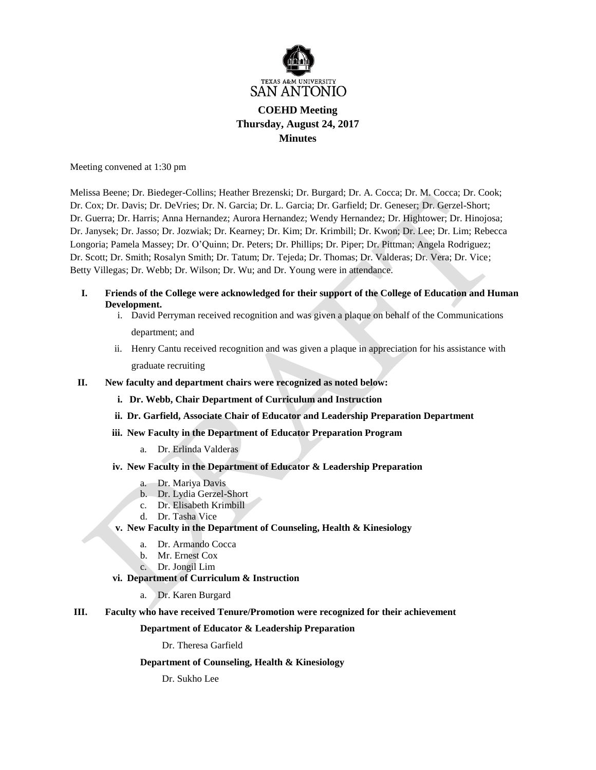

# **COEHD Meeting Thursday, August 24, 2017 Minutes**

Meeting convened at 1:30 pm

Melissa Beene; Dr. Biedeger-Collins; Heather Brezenski; Dr. Burgard; Dr. A. Cocca; Dr. M. Cocca; Dr. Cook; Dr. Cox; Dr. Davis; Dr. DeVries; Dr. N. Garcia; Dr. L. Garcia; Dr. Garfield; Dr. Geneser; Dr. Gerzel-Short; Dr. Guerra; Dr. Harris; Anna Hernandez; Aurora Hernandez; Wendy Hernandez; Dr. Hightower; Dr. Hinojosa; Dr. Janysek; Dr. Jasso; Dr. Jozwiak; Dr. Kearney; Dr. Kim; Dr. Krimbill; Dr. Kwon; Dr. Lee; Dr. Lim; Rebecca Longoria; Pamela Massey; Dr. O'Quinn; Dr. Peters; Dr. Phillips; Dr. Piper; Dr. Pittman; Angela Rodriguez; Dr. Scott; Dr. Smith; Rosalyn Smith; Dr. Tatum; Dr. Tejeda; Dr. Thomas; Dr. Valderas; Dr. Vera; Dr. Vice; Betty Villegas; Dr. Webb; Dr. Wilson; Dr. Wu; and Dr. Young were in attendance.

- **I. Friends of the College were acknowledged for their support of the College of Education and Human Development.** 
	- i. David Perryman received recognition and was given a plaque on behalf of the Communications department; and
	- ii. Henry Cantu received recognition and was given a plaque in appreciation for his assistance with graduate recruiting
- **II. New faculty and department chairs were recognized as noted below:**
	- **i. Dr. Webb, Chair Department of Curriculum and Instruction**
	- **ii. Dr. Garfield, Associate Chair of Educator and Leadership Preparation Department**
	- **iii. New Faculty in the Department of Educator Preparation Program**
		- a. Dr. Erlinda Valderas
	- **iv. New Faculty in the Department of Educator & Leadership Preparation**
		- a. Dr. Mariya Davis
		- b. Dr. Lydia Gerzel-Short
		- c. Dr. Elisabeth Krimbill
		- d. Dr. Tasha Vice
	- **v. New Faculty in the Department of Counseling, Health & Kinesiology**
		- a. Dr. Armando Cocca
		- b. Mr. Ernest Cox
		- c. Dr. Jongil Lim
	- **vi. Department of Curriculum & Instruction**
		- a. Dr. Karen Burgard
- **III. Faculty who have received Tenure/Promotion were recognized for their achievement**

## **Department of Educator & Leadership Preparation**

Dr. Theresa Garfield

## **Department of Counseling, Health & Kinesiology**

Dr. Sukho Lee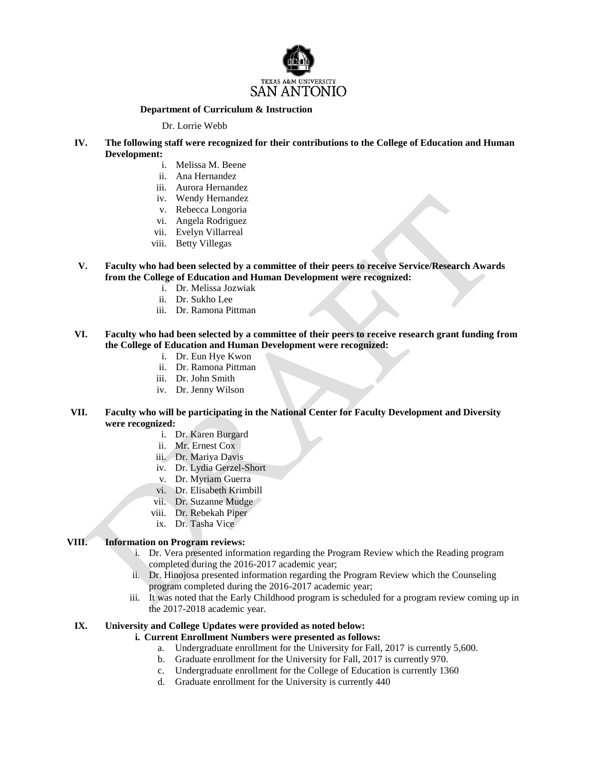

# **Department of Curriculum & Instruction**

Dr. Lorrie Webb

- **IV. The following staff were recognized for their contributions to the College of Education and Human Development:**
	- i. Melissa M. Beene
	- ii. Ana Hernandez
	- iii. Aurora Hernandez
	- iv. Wendy Hernandez
	- v. Rebecca Longoria
	- vi. Angela Rodriguez
	- vii. Evelyn Villarreal
	- viii. Betty Villegas
- **V. Faculty who had been selected by a committee of their peers to receive Service/Research Awards from the College of Education and Human Development were recognized:**
	- i. Dr. Melissa Jozwiak
	- ii. Dr. Sukho Lee
	- iii. Dr. Ramona Pittman
- **VI. Faculty who had been selected by a committee of their peers to receive research grant funding from the College of Education and Human Development were recognized:**
	- i. Dr. Eun Hye Kwon
	- ii. Dr. Ramona Pittman
	- iii. Dr. John Smith
	- iv. Dr. Jenny Wilson
- **VII. Faculty who will be participating in the National Center for Faculty Development and Diversity were recognized:**
	- i. Dr. Karen Burgard
	- ii. Mr. Ernest Cox
	- iii. Dr. Mariya Davis
	- iv. Dr. Lydia Gerzel-Short
	- v. Dr. Myriam Guerra
	- vi. Dr. Elisabeth Krimbill
	- vii. Dr. Suzanne Mudge
	- viii. Dr. Rebekah Piper
	- ix. Dr. Tasha Vice

# **VIII. Information on Program reviews:**

- i. Dr. Vera presented information regarding the Program Review which the Reading program completed during the 2016-2017 academic year;
- ii. Dr. Hinojosa presented information regarding the Program Review which the Counseling program completed during the 2016-2017 academic year;
- iii. It was noted that the Early Childhood program is scheduled for a program review coming up in the 2017-2018 academic year.

## **IX. University and College Updates were provided as noted below:**

- **i. Current Enrollment Numbers were presented as follows:**
	- a. Undergraduate enrollment for the University for Fall, 2017 is currently 5,600.
	- b. Graduate enrollment for the University for Fall, 2017 is currently 970.
	- c. Undergraduate enrollment for the College of Education is currently 1360
	- d. Graduate enrollment for the University is currently 440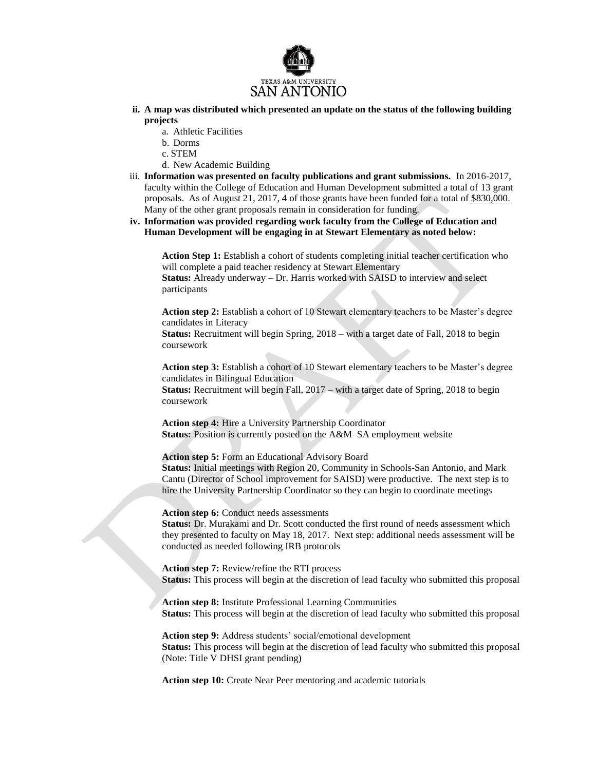

- **ii. A map was distributed which presented an update on the status of the following building projects** 
	- a. Athletic Facilities
	- b. Dorms
	- c. STEM
	- d. New Academic Building
- iii. **Information was presented on faculty publications and grant submissions.** In 2016-2017, faculty within the College of Education and Human Development submitted a total of 13 grant proposals. As of August 21, 2017, 4 of those grants have been funded for a total of \$830,000. Many of the other grant proposals remain in consideration for funding.
- **iv. Information was provided regarding work faculty from the College of Education and Human Development will be engaging in at Stewart Elementary as noted below:**

**Action Step 1:** Establish a cohort of students completing initial teacher certification who will complete a paid teacher residency at Stewart Elementary

**Status:** Already underway – Dr. Harris worked with SAISD to interview and select participants

**Action step 2:** Establish a cohort of 10 Stewart elementary teachers to be Master's degree candidates in Literacy

**Status:** Recruitment will begin Spring, 2018 – with a target date of Fall, 2018 to begin coursework

**Action step 3:** Establish a cohort of 10 Stewart elementary teachers to be Master's degree candidates in Bilingual Education

**Status:** Recruitment will begin Fall, 2017 – with a target date of Spring, 2018 to begin coursework

**Action step 4:** Hire a University Partnership Coordinator **Status:** Position is currently posted on the A&M–SA employment website

**Action step 5:** Form an Educational Advisory Board

**Status:** Initial meetings with Region 20, Community in Schools-San Antonio, and Mark Cantu (Director of School improvement for SAISD) were productive. The next step is to hire the University Partnership Coordinator so they can begin to coordinate meetings

**Action step 6:** Conduct needs assessments

**Status:** Dr. Murakami and Dr. Scott conducted the first round of needs assessment which they presented to faculty on May 18, 2017. Next step: additional needs assessment will be conducted as needed following IRB protocols

**Action step 7:** Review/refine the RTI process **Status:** This process will begin at the discretion of lead faculty who submitted this proposal

**Action step 8:** Institute Professional Learning Communities **Status:** This process will begin at the discretion of lead faculty who submitted this proposal

**Action step 9:** Address students' social/emotional development **Status:** This process will begin at the discretion of lead faculty who submitted this proposal (Note: Title V DHSI grant pending)

**Action step 10:** Create Near Peer mentoring and academic tutorials